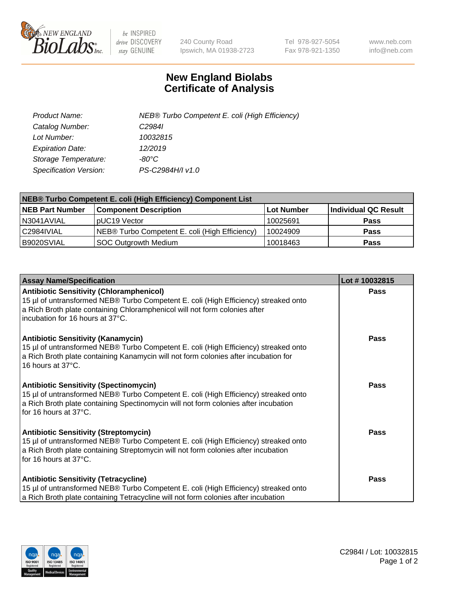

 $be$  INSPIRED drive DISCOVERY stay GENUINE

240 County Road Ipswich, MA 01938-2723 Tel 978-927-5054 Fax 978-921-1350 www.neb.com info@neb.com

## **New England Biolabs Certificate of Analysis**

| Product Name:           | NEB® Turbo Competent E. coli (High Efficiency) |
|-------------------------|------------------------------------------------|
| Catalog Number:         | C <sub>2984</sub>                              |
| Lot Number:             | 10032815                                       |
| <b>Expiration Date:</b> | 12/2019                                        |
| Storage Temperature:    | -80°C                                          |
| Specification Version:  | PS-C2984H/I v1.0                               |

| NEB® Turbo Competent E. coli (High Efficiency) Component List |                                                |            |                      |  |
|---------------------------------------------------------------|------------------------------------------------|------------|----------------------|--|
| <b>NEB Part Number</b>                                        | <b>Component Description</b>                   | Lot Number | Individual QC Result |  |
| N3041AVIAL                                                    | pUC19 Vector                                   | 10025691   | <b>Pass</b>          |  |
| C2984IVIAL                                                    | NEB® Turbo Competent E. coli (High Efficiency) | 10024909   | <b>Pass</b>          |  |
| B9020SVIAL                                                    | <b>SOC Outgrowth Medium</b>                    | 10018463   | <b>Pass</b>          |  |

| <b>Assay Name/Specification</b>                                                                                                                                                                                                                          | Lot #10032815 |
|----------------------------------------------------------------------------------------------------------------------------------------------------------------------------------------------------------------------------------------------------------|---------------|
| <b>Antibiotic Sensitivity (Chloramphenicol)</b><br>15 µl of untransformed NEB® Turbo Competent E. coli (High Efficiency) streaked onto<br>a Rich Broth plate containing Chloramphenicol will not form colonies after<br>incubation for 16 hours at 37°C. | <b>Pass</b>   |
| <b>Antibiotic Sensitivity (Kanamycin)</b><br>15 µl of untransformed NEB® Turbo Competent E. coli (High Efficiency) streaked onto<br>a Rich Broth plate containing Kanamycin will not form colonies after incubation for<br>16 hours at 37°C.             | Pass          |
| <b>Antibiotic Sensitivity (Spectinomycin)</b><br>15 µl of untransformed NEB® Turbo Competent E. coli (High Efficiency) streaked onto<br>a Rich Broth plate containing Spectinomycin will not form colonies after incubation<br>for 16 hours at 37°C.     | <b>Pass</b>   |
| <b>Antibiotic Sensitivity (Streptomycin)</b><br>15 µl of untransformed NEB® Turbo Competent E. coli (High Efficiency) streaked onto<br>a Rich Broth plate containing Streptomycin will not form colonies after incubation<br>for 16 hours at 37°C.       | Pass          |
| <b>Antibiotic Sensitivity (Tetracycline)</b><br>15 µl of untransformed NEB® Turbo Competent E. coli (High Efficiency) streaked onto<br>a Rich Broth plate containing Tetracycline will not form colonies after incubation                                | <b>Pass</b>   |